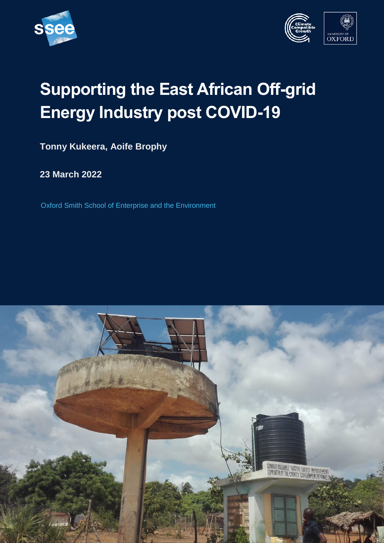





# **Supporting the East African Off-grid Energy Industry post COVID-19**

**Tonny Kukeera, Aoife Brophy**

**23 March 2022**

Oxford Smith School of Enterprise and the Environment

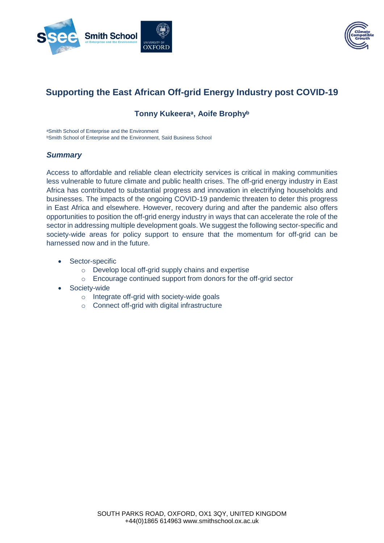



# **Supporting the East African Off-grid Energy Industry post COVID-19**

# **Tonny Kukeeraᵃ, Aoife Brophyᵇ**

aSmith School of Enterprise and the Environment **bSmith School of Enterprise and the Environment, Saïd Business School** 

#### *Summary*

Access to affordable and reliable clean electricity services is critical in making communities less vulnerable to future climate and public health crises. The off-grid energy industry in East Africa has contributed to substantial progress and innovation in electrifying households and businesses. The impacts of the ongoing COVID-19 pandemic threaten to deter this progress in East Africa and elsewhere. However, recovery during and after the pandemic also offers opportunities to position the off-grid energy industry in ways that can accelerate the role of the sector in addressing multiple development goals. We suggest the following sector-specific and society-wide areas for policy support to ensure that the momentum for off-grid can be harnessed now and in the future.

- Sector-specific
	- o Develop local off-grid supply chains and expertise
	- o Encourage continued support from donors for the off-grid sector
- Society-wide
	- o Integrate off-grid with society-wide goals
	- o Connect off-grid with digital infrastructure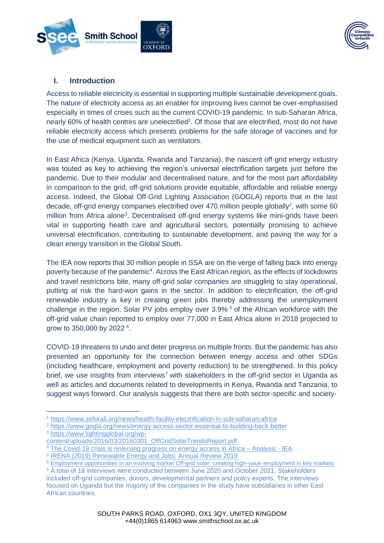



# **I. Introduction**

Access to reliable electricity is essential in supporting multiple sustainable development goals. The nature of electricity access as an enabler for improving lives cannot be over-emphasised especially in times of crises such as the current COVID-19 pandemic. In sub-Saharan Africa, nearly 60% of health centres are unelectrified<sup>1</sup>. Of those that are electrified, most do not have reliable electricity access which presents problems for the safe storage of vaccines and for the use of medical equipment such as ventilators.

In East Africa (Kenya, Uganda, Rwanda and Tanzania), the nascent off-grid energy industry was touted as key to achieving the region's universal electrification targets just before the pandemic. Due to their modular and decentralised nature, and for the most part affordability in comparison to the grid, off-grid solutions provide equitable, affordable and reliable energy access. Indeed, the Global Off-Grid Lighting Association (GOGLA) reports that in the last decade, off-grid energy companies electrified over 470 million people globally<sup>2</sup>, with some 60 million from Africa alone<sup>3</sup>. Decentralised off-grid energy systems like mini-grids have been vital in supporting health care and agricultural sectors, potentially promising to achieve universal electrification, contributing to sustainable development, and paving the way for a clean energy transition in the Global South.

The IEA now reports that 30 million people in SSA are on the verge of falling back into energy poverty because of the pandemic<sup>4</sup>. Across the East African region, as the effects of lockdowns and travel restrictions bite, many off-grid solar companies are struggling to stay operational, putting at risk the hard-won gains in the sector. In addition to electrification, the off-grid renewable industry is key in creating green jobs thereby addressing the unemployment challenge in the region. Solar PV jobs employ over 3.9% <sup>5</sup> of the African workforce with the off-grid value chain reported to employ over 77,000 in East Africa alone in 2018 projected to grow to 350,000 by 2022 <sup>6</sup>.

COVID-19 threatens to undo and deter progress on multiple fronts. But the pandemic has also presented an opportunity for the connection between energy access and other SDGs (including healthcare, employment and poverty reduction) to be strengthened. In this policy brief, we use insights from interviews<sup>7</sup> with stakeholders in the off-grid sector in Uganda as well as articles and documents related to developments in Kenya, Rwanda and Tanzania, to suggest ways forward. Our analysis suggests that there are both sector-specific and society-

 $\overline{a}$ <sup>1</sup> <https://www.seforall.org/news/health-facility-electrification-in-sub-saharan-africa>

<sup>2</sup> <https://www.gogla.org/news/energy-access-sector-essential-to-building-back-better>

<sup>3</sup> [https://www.lightingglobal.org/wp-](https://www.lightingglobal.org/wp-content/uploads/2016/03/20160301_OffGridSolarTrendsReport.pdf)

[content/uploads/2016/03/20160301\\_OffGridSolarTrendsReport.pdf.](https://www.lightingglobal.org/wp-content/uploads/2016/03/20160301_OffGridSolarTrendsReport.pdf)

<sup>4</sup> [The Covid-19 crisis is reversing progress on energy access in Africa –](https://www.iea.org/articles/the-covid-19-crisis-is-reversing-progress-on-energy-access-in-africa) Analysis - IEA

<sup>&</sup>lt;sup>5</sup> IRENA (2019) Renewable Energy and Jobs: Annual Review 2019

<sup>6</sup> [Employment opportunities in an evolving market Off-grid solar: creating high-value employment in key markets](https://www.gogla.org/sites/default/files/resource_docs/job_creation_in_the_og_sector_-_policy_note_1.pdf)

<sup>7</sup> A total of 18 interviews were conducted between June 2020 and October 2021. Stakeholders included off-grid companies, donors, developmental partners and policy experts. The interviews focused on Uganda but the majority of the companies in the study have subsidiaries in other East African countries.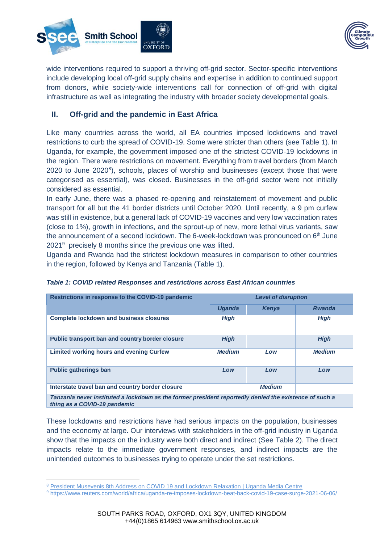



wide interventions required to support a thriving off-grid sector. Sector-specific interventions include developing local off-grid supply chains and expertise in addition to continued support from donors, while society-wide interventions call for connection of off-grid with digital infrastructure as well as integrating the industry with broader society developmental goals.

# **II. Off-grid and the pandemic in East Africa**

Like many countries across the world, all EA countries imposed lockdowns and travel restrictions to curb the spread of COVID-19. Some were stricter than others (see Table 1). In Uganda, for example, the government imposed one of the strictest COVID-19 lockdowns in the region. There were restrictions on movement. Everything from travel borders (from March 2020 to June 2020<sup>8</sup>), schools, places of worship and businesses (except those that were categorised as essential), was closed. Businesses in the off-grid sector were not initially considered as essential.

In early June, there was a phased re-opening and reinstatement of movement and public transport for all but the 41 border districts until October 2020. Until recently, a 9 pm curfew was still in existence, but a general lack of COVID-19 vaccines and very low vaccination rates (close to 1%), growth in infections, and the sprout-up of new, more lethal virus variants, saw the announcement of a second lockdown. The 6-week-lockdown was pronounced on  $6<sup>th</sup>$  June 2021<sup>9</sup> precisely 8 months since the previous one was lifted.

Uganda and Rwanda had the strictest lockdown measures in comparison to other countries in the region, followed by Kenya and Tanzania (Table 1).

| Restrictions in response to the COVID-19 pandemic                                                      | <b>Level of disruption</b> |               |               |
|--------------------------------------------------------------------------------------------------------|----------------------------|---------------|---------------|
|                                                                                                        | <b>Uganda</b>              | Kenya         | <b>Rwanda</b> |
| <b>Complete lockdown and business closures</b>                                                         | <b>High</b>                |               | <b>High</b>   |
| Public transport ban and country border closure                                                        | <b>High</b>                |               | <b>High</b>   |
| Limited working hours and evening Curfew                                                               | <b>Medium</b>              | Low           | <b>Medium</b> |
| <b>Public gatherings ban</b>                                                                           | Low                        | Low           | Low           |
| Interstate travel ban and country border closure                                                       |                            | <b>Medium</b> |               |
| Topzania novar instituted a logkdown as the former president reportedly denied the existence of such a |                            |               |               |

#### *Table 1: COVID related Responses and restrictions across East African countries*

*Tanzania never instituted a lockdown as the former president reportedly denied the existence of such a thing as a COVID-19 pandemic*

These lockdowns and restrictions have had serious impacts on the population, businesses and the economy at large. Our interviews with stakeholders in the off-grid industry in Uganda show that the impacts on the industry were both direct and indirect (See Table 2). The direct impacts relate to the immediate government responses, and indirect impacts are the unintended outcomes to businesses trying to operate under the set restrictions.

<sup>&</sup>lt;sup>8</sup> [President Musevenis 8th Address on COVID 19 and Lockdown Relaxation | Uganda Media Centre](https://www.mediacentre.go.ug/media/president-musevenis-8th-address-covid-19-and-lockdown-relaxation)

<sup>9</sup> https://www.reuters.com/world/africa/uganda-re-imposes-lockdown-beat-back-covid-19-case-surge-2021-06-06/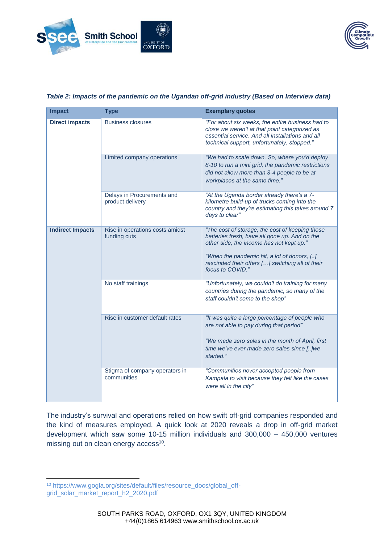



| <b>Impact</b>           | <b>Type</b>                                     | <b>Exemplary quotes</b>                                                                                                                                                                                                                                             |  |
|-------------------------|-------------------------------------------------|---------------------------------------------------------------------------------------------------------------------------------------------------------------------------------------------------------------------------------------------------------------------|--|
| <b>Direct impacts</b>   | <b>Business closures</b>                        | "For about six weeks, the entire business had to<br>close we weren't at that point categorized as<br>essential service. And all installations and all<br>technical support, unfortunately, stopped."                                                                |  |
|                         | Limited company operations                      | "We had to scale down. So, where you'd deploy<br>8-10 to run a mini grid, the pandemic restrictions<br>did not allow more than 3-4 people to be at<br>workplaces at the same time."                                                                                 |  |
|                         | Delays in Procurements and<br>product delivery  | "At the Uganda border already there's a 7-<br>kilometre build-up of trucks coming into the<br>country and they're estimating this takes around 7<br>days to clear"                                                                                                  |  |
| <b>Indirect Impacts</b> | Rise in operations costs amidst<br>funding cuts | "The cost of storage, the cost of keeping those<br>batteries fresh, have all gone up. And on the<br>other side, the income has not kept up."<br>"When the pandemic hit, a lot of donors, []<br>rescinded their offers [] switching all of their<br>focus to COVID." |  |
|                         | No staff trainings                              | "Unfortunately, we couldn't do training for many<br>countries during the pandemic, so many of the<br>staff couldn't come to the shop"                                                                                                                               |  |
|                         | Rise in customer default rates                  | "It was quite a large percentage of people who<br>are not able to pay during that period"<br>"We made zero sales in the month of April, first<br>time we've ever made zero sales since [] we<br>started."                                                           |  |
|                         | Stigma of company operators in<br>communities   | "Communities never accepted people from<br>Kampala to visit because they felt like the cases<br>were all in the city"                                                                                                                                               |  |

#### *Table 2: Impacts of the pandemic on the Ugandan off-grid industry (Based on Interview data)*

The industry's survival and operations relied on how swift off-grid companies responded and the kind of measures employed. A quick look at 2020 reveals a drop in off-grid market development which saw some 10-15 million individuals and 300,000 – 450,000 ventures missing out on clean energy access<sup>10</sup>.

 $\overline{a}$ <sup>10</sup> [https://www.gogla.org/sites/default/files/resource\\_docs/global\\_off](https://www.gogla.org/sites/default/files/resource_docs/global_off-grid_solar_market_report_h2_2020.pdf)[grid\\_solar\\_market\\_report\\_h2\\_2020.pdf](https://www.gogla.org/sites/default/files/resource_docs/global_off-grid_solar_market_report_h2_2020.pdf)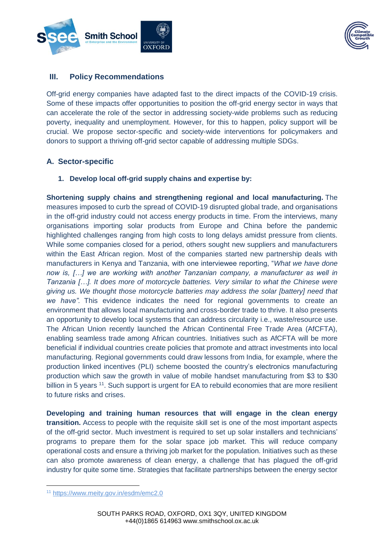



# **III. Policy Recommendations**

Off-grid energy companies have adapted fast to the direct impacts of the COVID-19 crisis. Some of these impacts offer opportunities to position the off-grid energy sector in ways that can accelerate the role of the sector in addressing society-wide problems such as reducing poverty, inequality and unemployment. However, for this to happen, policy support will be crucial. We propose sector-specific and society-wide interventions for policymakers and donors to support a thriving off-grid sector capable of addressing multiple SDGs.

# **A. Sector-specific**

#### **1. Develop local off-grid supply chains and expertise by:**

**Shortening supply chains and strengthening regional and local manufacturing.** The measures imposed to curb the spread of COVID-19 disrupted global trade, and organisations in the off-grid industry could not access energy products in time. From the interviews, many organisations importing solar products from Europe and China before the pandemic highlighted challenges ranging from high costs to long delays amidst pressure from clients. While some companies closed for a period, others sought new suppliers and manufacturers within the East African region. Most of the companies started new partnership deals with manufacturers in Kenya and Tanzania, with one interviewee reporting, "*What we have done now is, […] we are working with another Tanzanian company, a manufacturer as well in Tanzania […]. It does more of motorcycle batteries. Very similar to what the Chinese were giving us. We thought those motorcycle batteries may address the solar [battery] need that we have".* This evidence indicates the need for regional governments to create an environment that allows local manufacturing and cross-border trade to thrive. It also presents an opportunity to develop local systems that can address circularity i.e., waste/resource use. The African Union recently launched the African Continental Free Trade Area (AfCFTA), enabling seamless trade among African countries. Initiatives such as AfCFTA will be more beneficial if individual countries create policies that promote and attract investments into local manufacturing. Regional governments could draw lessons from India, for example, where the production linked incentives (PLI) scheme boosted the country's electronics manufacturing production which saw the growth in value of mobile handset manufacturing from \$3 to \$30 billion in 5 years <sup>11</sup>. Such support is urgent for EA to rebuild economies that are more resilient to future risks and crises.

**Developing and training human resources that will engage in the clean energy transition.** Access to people with the requisite skill set is one of the most important aspects of the off-grid sector. Much investment is required to set up solar installers and technicians' programs to prepare them for the solar space job market. This will reduce company operational costs and ensure a thriving job market for the population. Initiatives such as these can also promote awareness of clean energy, a challenge that has plagued the off-grid industry for quite some time. Strategies that facilitate partnerships between the energy sector

<sup>11</sup> <https://www.meity.gov.in/esdm/emc2.0>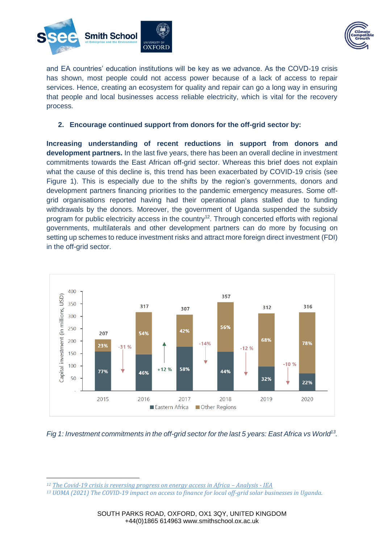



and EA countries' education institutions will be key as we advance. As the COVD-19 crisis has shown, most people could not access power because of a lack of access to repair services. Hence, creating an ecosystem for quality and repair can go a long way in ensuring that people and local businesses access reliable electricity, which is vital for the recovery process.

#### **2. Encourage continued support from donors for the off-grid sector by:**

**Increasing understanding of recent reductions in support from donors and development partners.** In the last five years, there has been an overall decline in investment commitments towards the East African off-grid sector. Whereas this brief does not explain what the cause of this decline is, this trend has been exacerbated by COVID-19 crisis (see Figure 1). This is especially due to the shifts by the region's governments, donors and development partners financing priorities to the pandemic emergency measures. Some offgrid organisations reported having had their operational plans stalled due to funding withdrawals by the donors. Moreover, the government of Uganda suspended the subsidy program for public electricity access in the country<sup>12</sup>. Through concerted efforts with regional governments, multilaterals and other development partners can do more by focusing on setting up schemes to reduce investment risks and attract more foreign direct investment (FDI) in the off-grid sector.



*Fig 1: Investment commitments in the off-grid sector for the last 5 years: East Africa vs World<sup>13</sup> .* 

<sup>&</sup>lt;sup>12</sup> [The Covid-19 crisis is reversing progress on energy access in Africa](https://www.iea.org/articles/the-covid-19-crisis-is-reversing-progress-on-energy-access-in-africa) – Analysis - IEA

*<sup>13</sup> UOMA (2021) The COVID-19 impact on access to finance for local off-grid solar businesses in Uganda.*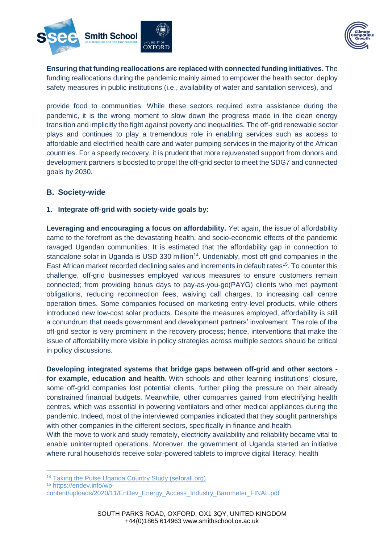



**Ensuring that funding reallocations are replaced with connected funding initiatives.** The funding reallocations during the pandemic mainly aimed to empower the health sector, deploy safety measures in public institutions (i.e., availability of water and sanitation services), and

provide food to communities. While these sectors required extra assistance during the pandemic, it is the wrong moment to slow down the progress made in the clean energy transition and implicitly the fight against poverty and inequalities. The off-grid renewable sector plays and continues to play a tremendous role in enabling services such as access to affordable and electrified health care and water pumping services in the majority of the African countries. For a speedy recovery, it is prudent that more rejuvenated support from donors and development partners is boosted to propel the off-grid sector to meet the SDG7 and connected goals by 2030.

# **B. Society-wide**

#### **1. Integrate off-grid with society-wide goals by:**

**Leveraging and encouraging a focus on affordability.** Yet again, the issue of affordability came to the forefront as the devastating health, and socio-economic effects of the pandemic ravaged Ugandan communities. It is estimated that the affordability gap in connection to standalone solar in Uganda is USD 330 million<sup>14</sup>. Undeniably, most off-grid companies in the East African market recorded declining sales and increments in default rates<sup>15</sup>. To counter this challenge, off-grid businesses employed various measures to ensure customers remain connected; from providing bonus days to pay-as-you-go(PAYG) clients who met payment obligations, reducing reconnection fees, waiving call charges, to increasing call centre operation times. Some companies focused on marketing entry-level products, while others introduced new low-cost solar products. Despite the measures employed, affordability is still a conundrum that needs government and development partners' involvement. The role of the off-grid sector is very prominent in the recovery process; hence, interventions that make the issue of affordability more visible in policy strategies across multiple sectors should be critical in policy discussions.

**Developing integrated systems that bridge gaps between off-grid and other sectors for example, education and health.** With schools and other learning institutions' closure, some off-grid companies lost potential clients, further piling the pressure on their already constrained financial budgets. Meanwhile, other companies gained from electrifying health centres, which was essential in powering ventilators and other medical appliances during the pandemic. Indeed, most of the interviewed companies indicated that they sought partnerships with other companies in the different sectors, specifically in finance and health.

With the move to work and study remotely, electricity availability and reliability became vital to enable uninterrupted operations. Moreover, the government of Uganda started an initiative where rural households receive solar-powered tablets to improve digital literacy, health

 $\overline{a}$ <sup>14</sup> [Taking the Pulse Uganda Country Study \(seforall.org\)](https://www.seforall.org/system/files/2019-12/Taking-Pulse-Uganda_0.pdf)

<sup>15</sup> [https://endev.info/wp-](https://endev.info/wp-content/uploads/2020/11/EnDev_Energy_Access_Industry_Barometer_FINAL.pdf)

[content/uploads/2020/11/EnDev\\_Energy\\_Access\\_Industry\\_Barometer\\_FINAL.pdf](https://endev.info/wp-content/uploads/2020/11/EnDev_Energy_Access_Industry_Barometer_FINAL.pdf)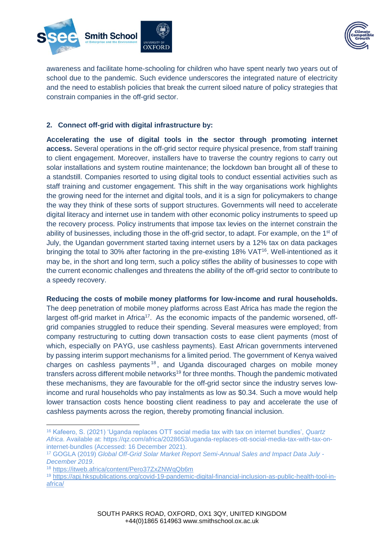



awareness and facilitate home-schooling for children who have spent nearly two years out of school due to the pandemic. Such evidence underscores the integrated nature of electricity and the need to establish policies that break the current siloed nature of policy strategies that constrain companies in the off-grid sector.

# **2. Connect off-grid with digital infrastructure by:**

**Accelerating the use of digital tools in the sector through promoting internet access.** Several operations in the off-grid sector require physical presence, from staff training to client engagement. Moreover, installers have to traverse the country regions to carry out solar installations and system routine maintenance; the lockdown ban brought all of these to a standstill. Companies resorted to using digital tools to conduct essential activities such as staff training and customer engagement. This shift in the way organisations work highlights the growing need for the internet and digital tools, and it is a sign for policymakers to change the way they think of these sorts of support structures. Governments will need to accelerate digital literacy and internet use in tandem with other economic policy instruments to speed up the recovery process. Policy instruments that impose tax levies on the internet constrain the ability of businesses, including those in the off-grid sector, to adapt. For example, on the 1<sup>st</sup> of July, the Ugandan government started taxing internet users by a 12% tax on data packages bringing the total to 30% after factoring in the pre-existing 18% VAT<sup>16</sup>. Well-intentioned as it may be, in the short and long term, such a policy stifles the ability of businesses to cope with the current economic challenges and threatens the ability of the off-grid sector to contribute to a speedy recovery.

#### **Reducing the costs of mobile money platforms for low-income and rural households.**

The deep penetration of mobile money platforms across East Africa has made the region the largest off-grid market in Africa<sup>17</sup>. As the economic impacts of the pandemic worsened, offgrid companies struggled to reduce their spending. Several measures were employed; from company restructuring to cutting down transaction costs to ease client payments (most of which, especially on PAYG, use cashless payments). East African governments intervened by passing interim support mechanisms for a limited period. The government of Kenya waived charges on cashless payments <sup>18</sup> , and Uganda discouraged charges on mobile money transfers across different mobile networks<sup>19</sup> for three months. Though the pandemic motivated these mechanisms, they are favourable for the off-grid sector since the industry serves lowincome and rural households who pay instalments as low as \$0.34. Such a move would help lower transaction costs hence boosting client readiness to pay and accelerate the use of cashless payments across the region, thereby promoting financial inclusion.

<sup>16</sup> Kafeero, S. (2021) 'Uganda replaces OTT social media tax with tax on internet bundles', *Quartz Africa*. Available at: https://qz.com/africa/2028653/uganda-replaces-ott-social-media-tax-with-tax-oninternet-bundles (Accessed: 16 December 2021).

<sup>17</sup> GOGLA (2019) *Global Off-Grid Solar Market Report Semi-Annual Sales and Impact Data July - December 2019*.

<sup>18</sup> <https://itweb.africa/content/Pero37ZxZNWqQb6m>

<sup>19</sup> [https://apj.hkspublications.org/covid-19-pandemic-digital-financial-inclusion-as-public-health-tool-in](https://apj.hkspublications.org/covid-19-pandemic-digital-financial-inclusion-as-public-health-tool-in-africa/)[africa/](https://apj.hkspublications.org/covid-19-pandemic-digital-financial-inclusion-as-public-health-tool-in-africa/)